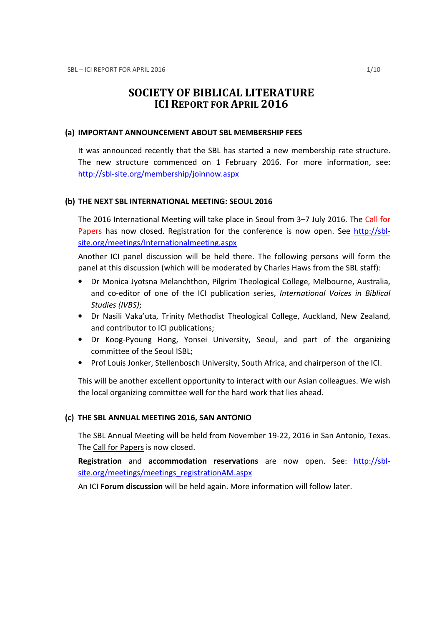# SOCIETY OF BIBLICAL LITERATURE ICI REPORT FOR APRIL 2016

#### (a) IMPORTANT ANNOUNCEMENT ABOUT SBL MEMBERSHIP FEES

It was announced recently that the SBL has started a new membership rate structure. The new structure commenced on 1 February 2016. For more information, see: http://sbl-site.org/membership/joinnow.aspx

### (b) THE NEXT SBL INTERNATIONAL MEETING: SEOUL 2016

The 2016 International Meeting will take place in Seoul from 3–7 July 2016. The Call for Papers has now closed. Registration for the conference is now open. See http://sblsite.org/meetings/Internationalmeeting.aspx

Another ICI panel discussion will be held there. The following persons will form the panel at this discussion (which will be moderated by Charles Haws from the SBL staff):

- Dr Monica Jyotsna Melanchthon, Pilgrim Theological College, Melbourne, Australia, and co-editor of one of the ICI publication series, International Voices in Biblical Studies (IVBS);
- Dr Nasili Vaka'uta, Trinity Methodist Theological College, Auckland, New Zealand, and contributor to ICI publications;
- Dr Koog-Pyoung Hong, Yonsei University, Seoul, and part of the organizing committee of the Seoul ISBL;
- Prof Louis Jonker, Stellenbosch University, South Africa, and chairperson of the ICI.

This will be another excellent opportunity to interact with our Asian colleagues. We wish the local organizing committee well for the hard work that lies ahead.

### (c) THE SBL ANNUAL MEETING 2016, SAN ANTONIO

The SBL Annual Meeting will be held from November 19-22, 2016 in San Antonio, Texas. The Call for Papers is now closed.

Registration and accommodation reservations are now open. See: http://sblsite.org/meetings/meetings\_registrationAM.aspx

An ICI Forum discussion will be held again. More information will follow later.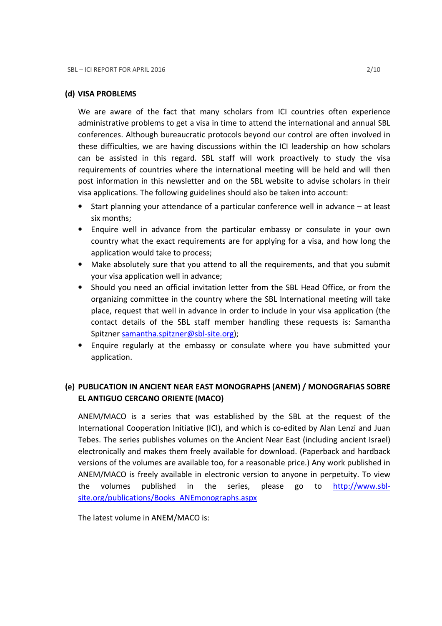#### (d) VISA PROBLEMS

We are aware of the fact that many scholars from ICI countries often experience administrative problems to get a visa in time to attend the international and annual SBL conferences. Although bureaucratic protocols beyond our control are often involved in these difficulties, we are having discussions within the ICI leadership on how scholars can be assisted in this regard. SBL staff will work proactively to study the visa requirements of countries where the international meeting will be held and will then post information in this newsletter and on the SBL website to advise scholars in their visa applications. The following guidelines should also be taken into account:

- Start planning your attendance of a particular conference well in advance at least six months;
- Enquire well in advance from the particular embassy or consulate in your own country what the exact requirements are for applying for a visa, and how long the application would take to process;
- Make absolutely sure that you attend to all the requirements, and that you submit your visa application well in advance;
- Should you need an official invitation letter from the SBL Head Office, or from the organizing committee in the country where the SBL International meeting will take place, request that well in advance in order to include in your visa application (the contact details of the SBL staff member handling these requests is: Samantha Spitzner samantha.spitzner@sbl-site.org);
- Enquire regularly at the embassy or consulate where you have submitted your application.

## (e) PUBLICATION IN ANCIENT NEAR EAST MONOGRAPHS (ANEM) / MONOGRAFIAS SOBRE EL ANTIGUO CERCANO ORIENTE (MACO)

ANEM/MACO is a series that was established by the SBL at the request of the International Cooperation Initiative (ICI), and which is co-edited by Alan Lenzi and Juan Tebes. The series publishes volumes on the Ancient Near East (including ancient Israel) electronically and makes them freely available for download. (Paperback and hardback versions of the volumes are available too, for a reasonable price.) Any work published in ANEM/MACO is freely available in electronic version to anyone in perpetuity. To view the volumes published in the series, please go to http://www.sblsite.org/publications/Books\_ANEmonographs.aspx

The latest volume in ANEM/MACO is: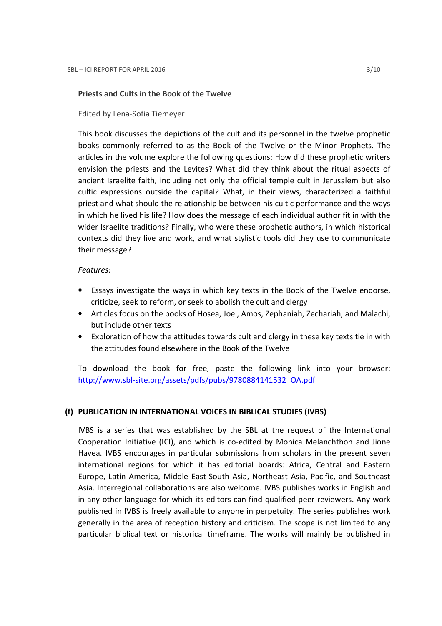#### Priests and Cults in the Book of the Twelve

Edited by Lena-Sofia Tiemeyer

This book discusses the depictions of the cult and its personnel in the twelve prophetic books commonly referred to as the Book of the Twelve or the Minor Prophets. The articles in the volume explore the following questions: How did these prophetic writers envision the priests and the Levites? What did they think about the ritual aspects of ancient Israelite faith, including not only the official temple cult in Jerusalem but also cultic expressions outside the capital? What, in their views, characterized a faithful priest and what should the relationship be between his cultic performance and the ways in which he lived his life? How does the message of each individual author fit in with the wider Israelite traditions? Finally, who were these prophetic authors, in which historical contexts did they live and work, and what stylistic tools did they use to communicate their message?

#### Features:

- Essays investigate the ways in which key texts in the Book of the Twelve endorse, criticize, seek to reform, or seek to abolish the cult and clergy
- Articles focus on the books of Hosea, Joel, Amos, Zephaniah, Zechariah, and Malachi, but include other texts
- Exploration of how the attitudes towards cult and clergy in these key texts tie in with the attitudes found elsewhere in the Book of the Twelve

To download the book for free, paste the following link into your browser: http://www.sbl-site.org/assets/pdfs/pubs/9780884141532\_OA.pdf

### (f) PUBLICATION IN INTERNATIONAL VOICES IN BIBLICAL STUDIES (IVBS)

IVBS is a series that was established by the SBL at the request of the International Cooperation Initiative (ICI), and which is co-edited by Monica Melanchthon and Jione Havea. IVBS encourages in particular submissions from scholars in the present seven international regions for which it has editorial boards: Africa, Central and Eastern Europe, Latin America, Middle East-South Asia, Northeast Asia, Pacific, and Southeast Asia. Interregional collaborations are also welcome. IVBS publishes works in English and in any other language for which its editors can find qualified peer reviewers. Any work published in IVBS is freely available to anyone in perpetuity. The series publishes work generally in the area of reception history and criticism. The scope is not limited to any particular biblical text or historical timeframe. The works will mainly be published in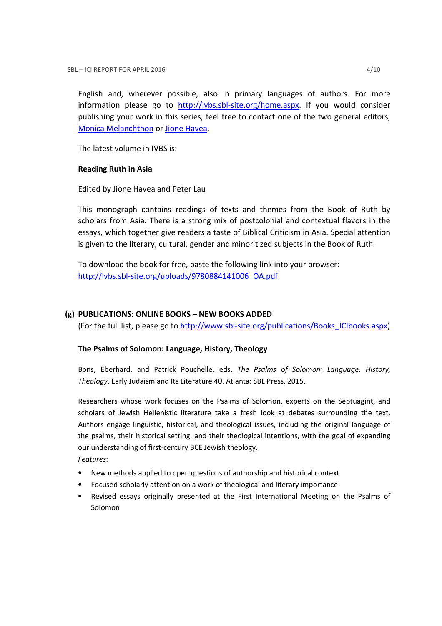English and, wherever possible, also in primary languages of authors. For more information please go to http://ivbs.sbl-site.org/home.aspx. If you would consider publishing your work in this series, feel free to contact one of the two general editors, Monica Melanchthon or Jione Havea.

The latest volume in IVBS is:

### Reading Ruth in Asia

Edited by Jione Havea and Peter Lau

This monograph contains readings of texts and themes from the Book of Ruth by scholars from Asia. There is a strong mix of postcolonial and contextual flavors in the essays, which together give readers a taste of Biblical Criticism in Asia. Special attention is given to the literary, cultural, gender and minoritized subjects in the Book of Ruth.

To download the book for free, paste the following link into your browser: http://ivbs.sbl-site.org/uploads/9780884141006\_OA.pdf

## (g) PUBLICATIONS: ONLINE BOOKS – NEW BOOKS ADDED

(For the full list, please go to http://www.sbl-site.org/publications/Books\_ICIbooks.aspx)

## The Psalms of Solomon: Language, History, Theology

Bons, Eberhard, and Patrick Pouchelle, eds. The Psalms of Solomon: Language, History, Theology. Early Judaism and Its Literature 40. Atlanta: SBL Press, 2015.

Researchers whose work focuses on the Psalms of Solomon, experts on the Septuagint, and scholars of Jewish Hellenistic literature take a fresh look at debates surrounding the text. Authors engage linguistic, historical, and theological issues, including the original language of the psalms, their historical setting, and their theological intentions, with the goal of expanding our understanding of first-century BCE Jewish theology. Features:

- New methods applied to open questions of authorship and historical context
- Focused scholarly attention on a work of theological and literary importance
- Revised essays originally presented at the First International Meeting on the Psalms of Solomon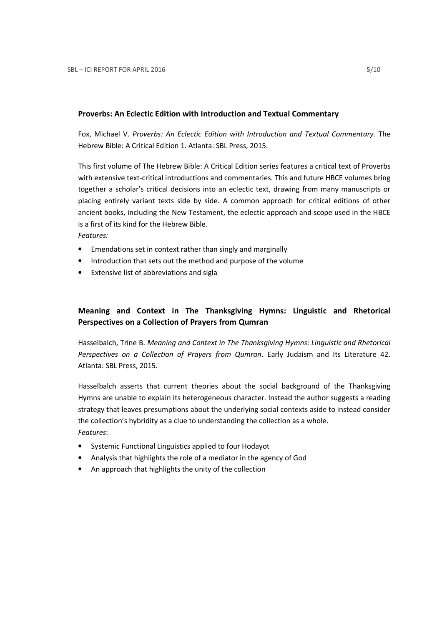#### Proverbs: An Eclectic Edition with Introduction and Textual Commentary

Fox, Michael V. Proverbs: An Eclectic Edition with Introduction and Textual Commentary. The Hebrew Bible: A Critical Edition 1. Atlanta: SBL Press, 2015.

This first volume of The Hebrew Bible: A Critical Edition series features a critical text of Proverbs with extensive text-critical introductions and commentaries. This and future HBCE volumes bring together a scholar's critical decisions into an eclectic text, drawing from many manuscripts or placing entirely variant texts side by side. A common approach for critical editions of other ancient books, including the New Testament, the eclectic approach and scope used in the HBCE is a first of its kind for the Hebrew Bible.

Features:

- Emendations set in context rather than singly and marginally
- Introduction that sets out the method and purpose of the volume
- Extensive list of abbreviations and sigla

## Meaning and Context in The Thanksgiving Hymns: Linguistic and Rhetorical Perspectives on a Collection of Prayers from Qumran

Hasselbalch, Trine B. Meaning and Context in The Thanksgiving Hymns: Linguistic and Rhetorical Perspectives on a Collection of Prayers from Qumran. Early Judaism and Its Literature 42. Atlanta: SBL Press, 2015.

Hasselbalch asserts that current theories about the social background of the Thanksgiving Hymns are unable to explain its heterogeneous character. Instead the author suggests a reading strategy that leaves presumptions about the underlying social contexts aside to instead consider the collection's hybridity as a clue to understanding the collection as a whole. Features:

- Systemic Functional Linguistics applied to four Hodayot
- Analysis that highlights the role of a mediator in the agency of God
- An approach that highlights the unity of the collection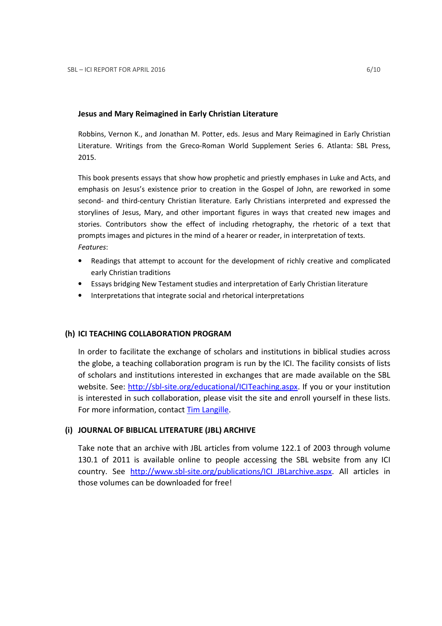#### Jesus and Mary Reimagined in Early Christian Literature

Robbins, Vernon K., and Jonathan M. Potter, eds. Jesus and Mary Reimagined in Early Christian Literature. Writings from the Greco-Roman World Supplement Series 6. Atlanta: SBL Press, 2015.

This book presents essays that show how prophetic and priestly emphases in Luke and Acts, and emphasis on Jesus's existence prior to creation in the Gospel of John, are reworked in some second- and third-century Christian literature. Early Christians interpreted and expressed the storylines of Jesus, Mary, and other important figures in ways that created new images and stories. Contributors show the effect of including rhetography, the rhetoric of a text that prompts images and pictures in the mind of a hearer or reader, in interpretation of texts. Features:

- Readings that attempt to account for the development of richly creative and complicated early Christian traditions
- Essays bridging New Testament studies and interpretation of Early Christian literature
- Interpretations that integrate social and rhetorical interpretations

### (h) ICI TEACHING COLLABORATION PROGRAM

In order to facilitate the exchange of scholars and institutions in biblical studies across the globe, a teaching collaboration program is run by the ICI. The facility consists of lists of scholars and institutions interested in exchanges that are made available on the SBL website. See: http://sbl-site.org/educational/ICITeaching.aspx. If you or your institution is interested in such collaboration, please visit the site and enroll yourself in these lists. For more information, contact Tim Langille.

### (i) JOURNAL OF BIBLICAL LITERATURE (JBL) ARCHIVE

Take note that an archive with JBL articles from volume 122.1 of 2003 through volume 130.1 of 2011 is available online to people accessing the SBL website from any ICI country. See http://www.sbl-site.org/publications/ICI\_JBLarchive.aspx. All articles in those volumes can be downloaded for free!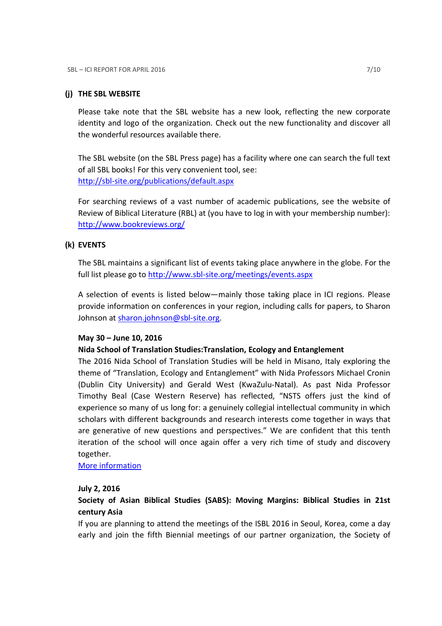#### (j) THE SBL WEBSITE

Please take note that the SBL website has a new look, reflecting the new corporate identity and logo of the organization. Check out the new functionality and discover all the wonderful resources available there.

The SBL website (on the SBL Press page) has a facility where one can search the full text of all SBL books! For this very convenient tool, see: http://sbl-site.org/publications/default.aspx

For searching reviews of a vast number of academic publications, see the website of Review of Biblical Literature (RBL) at (you have to log in with your membership number): http://www.bookreviews.org/

### (k) EVENTS

The SBL maintains a significant list of events taking place anywhere in the globe. For the full list please go to http://www.sbl-site.org/meetings/events.aspx

A selection of events is listed below—mainly those taking place in ICI regions. Please provide information on conferences in your region, including calls for papers, to Sharon Johnson at sharon.johnson@sbl-site.org.

#### May 30 – June 10, 2016

#### Nida School of Translation Studies:Translation, Ecology and Entanglement

The 2016 Nida School of Translation Studies will be held in Misano, Italy exploring the theme of "Translation, Ecology and Entanglement" with Nida Professors Michael Cronin (Dublin City University) and Gerald West (KwaZulu-Natal). As past Nida Professor Timothy Beal (Case Western Reserve) has reflected, "NSTS offers just the kind of experience so many of us long for: a genuinely collegial intellectual community in which scholars with different backgrounds and research interests come together in ways that are generative of new questions and perspectives." We are confident that this tenth iteration of the school will once again offer a very rich time of study and discovery together.

More information

#### July 2, 2016

## Society of Asian Biblical Studies (SABS): Moving Margins: Biblical Studies in 21st century Asia

If you are planning to attend the meetings of the ISBL 2016 in Seoul, Korea, come a day early and join the fifth Biennial meetings of our partner organization, the Society of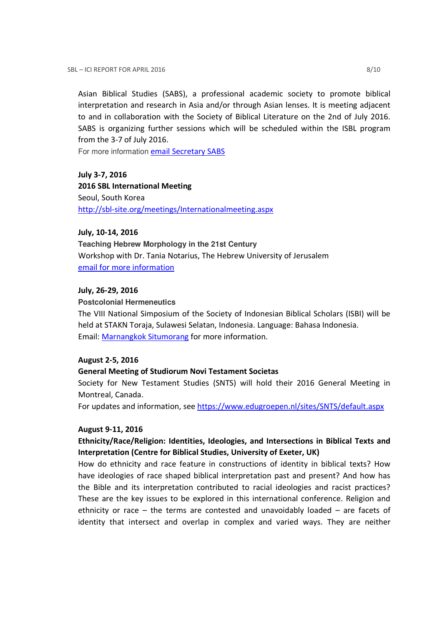Asian Biblical Studies (SABS), a professional academic society to promote biblical interpretation and research in Asia and/or through Asian lenses. It is meeting adjacent to and in collaboration with the Society of Biblical Literature on the 2nd of July 2016. SABS is organizing further sessions which will be scheduled within the ISBL program from the 3-7 of July 2016.

For more information email Secretary SABS

July 3-7, 2016 2016 SBL International Meeting Seoul, South Korea http://sbl-site.org/meetings/Internationalmeeting.aspx

#### July, 10-14, 2016

**Teaching Hebrew Morphology in the 21st Century**  Workshop with Dr. Tania Notarius, The Hebrew University of Jerusalem email for more information

#### July, 26-29, 2016

#### **Postcolonial Hermeneutics**

The VIII National Simposium of the Society of Indonesian Biblical Scholars (ISBI) will be held at STAKN Toraja, Sulawesi Selatan, Indonesia. Language: Bahasa Indonesia. Email: Marnangkok Situmorang for more information.

#### August 2-5, 2016

#### General Meeting of Studiorum Novi Testament Societas

Society for New Testament Studies (SNTS) will hold their 2016 General Meeting in Montreal, Canada.

For updates and information, see https://www.edugroepen.nl/sites/SNTS/default.aspx

#### August 9-11, 2016

## Ethnicity/Race/Religion: Identities, Ideologies, and Intersections in Biblical Texts and Interpretation (Centre for Biblical Studies, University of Exeter, UK)

How do ethnicity and race feature in constructions of identity in biblical texts? How have ideologies of race shaped biblical interpretation past and present? And how has the Bible and its interpretation contributed to racial ideologies and racist practices? These are the key issues to be explored in this international conference. Religion and ethnicity or race – the terms are contested and unavoidably loaded – are facets of identity that intersect and overlap in complex and varied ways. They are neither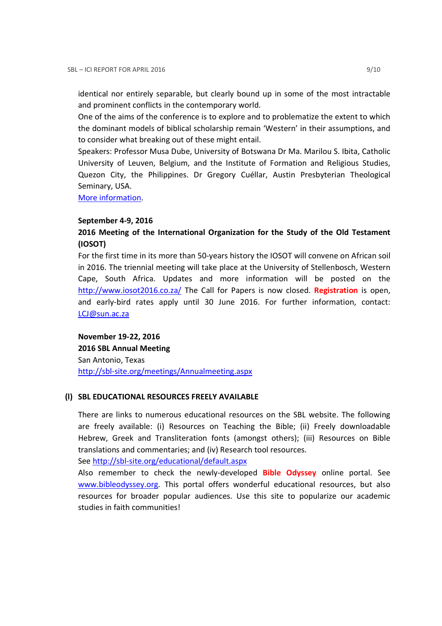identical nor entirely separable, but clearly bound up in some of the most intractable and prominent conflicts in the contemporary world.

One of the aims of the conference is to explore and to problematize the extent to which the dominant models of biblical scholarship remain 'Western' in their assumptions, and to consider what breaking out of these might entail.

Speakers: Professor Musa Dube, University of Botswana Dr Ma. Marilou S. Ibita, Catholic University of Leuven, Belgium, and the Institute of Formation and Religious Studies, Quezon City, the Philippines. Dr Gregory Cuéllar, Austin Presbyterian Theological Seminary, USA.

More information.

#### September 4-9, 2016

## 2016 Meeting of the International Organization for the Study of the Old Testament (IOSOT)

For the first time in its more than 50-years history the IOSOT will convene on African soil in 2016. The triennial meeting will take place at the University of Stellenbosch, Western Cape, South Africa. Updates and more information will be posted on the http://www.iosot2016.co.za/ The Call for Papers is now closed. Registration is open, and early-bird rates apply until 30 June 2016. For further information, contact: LCJ@sun.ac.za

November 19-22, 2016 2016 SBL Annual Meeting San Antonio, Texas http://sbl-site.org/meetings/Annualmeeting.aspx

#### (l) SBL EDUCATIONAL RESOURCES FREELY AVAILABLE

There are links to numerous educational resources on the SBL website. The following are freely available: (i) Resources on Teaching the Bible; (ii) Freely downloadable Hebrew, Greek and Transliteration fonts (amongst others); (iii) Resources on Bible translations and commentaries; and (iv) Research tool resources.

See http://sbl-site.org/educational/default.aspx

Also remember to check the newly-developed Bible Odyssey online portal. See www.bibleodyssey.org. This portal offers wonderful educational resources, but also resources for broader popular audiences. Use this site to popularize our academic studies in faith communities!